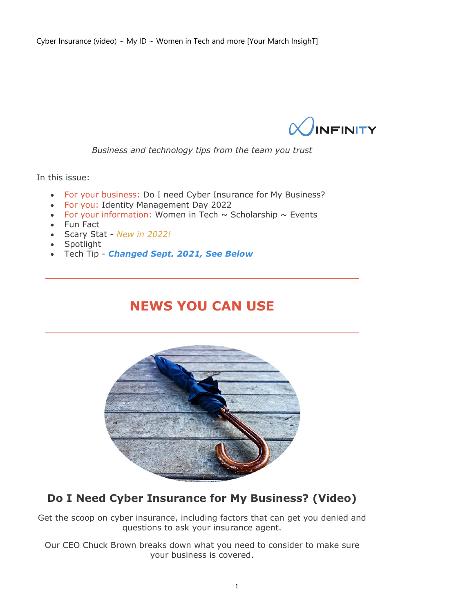

*Business and technology tips from the team you trust*

In this issue:

- For your business: Do I need Cyber Insurance for My Business?
- For you: Identity Management Day 2022
- For your information: Women in Tech  $\sim$  Scholarship  $\sim$  Events
- Fun Fact
- Scary Stat *New in 2022!*
- Spotlight
- Tech Tip *Changed Sept. 2021, See Below*

### **NEWS YOU CAN USE**



### **Do I Need Cyber Insurance for My Business? (Video)**

Get the scoop on cyber insurance, including factors that can get you denied and questions to ask your insurance agent.

Our CEO Chuck Brown breaks down what you need to consider to make sure your business is covered.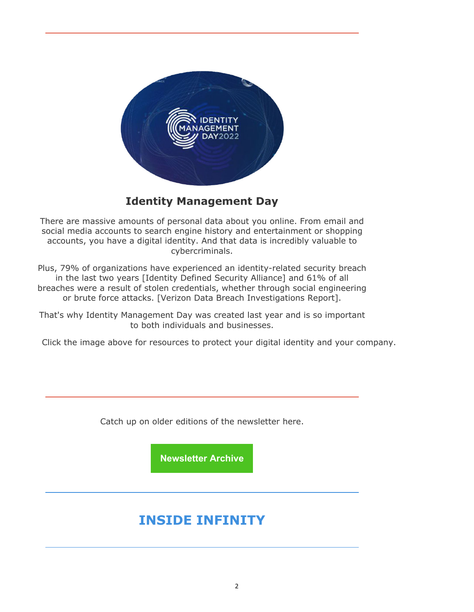

#### **Identity Management Day**

There are massive amounts of personal data about you online. From email and social media accounts to search engine history and entertainment or shopping accounts, you have a digital identity. And that data is incredibly valuable to cybercriminals.

Plus, 79% of organizations have experienced an identity-related security breach in the last two years [Identity Defined Security Alliance] and 61% of all breaches were a result of stolen credentials, whether through social engineering or brute force attacks. [Verizon Data Breach Investigations Report].

That's why Identity Management Day was created last year and is so important to both individuals and businesses.

Click the image above for resources to protect your digital identity and your company.

Catch up on older editions of the newsletter here.

**Newsletter Archive**

# **INSIDE INFINITY**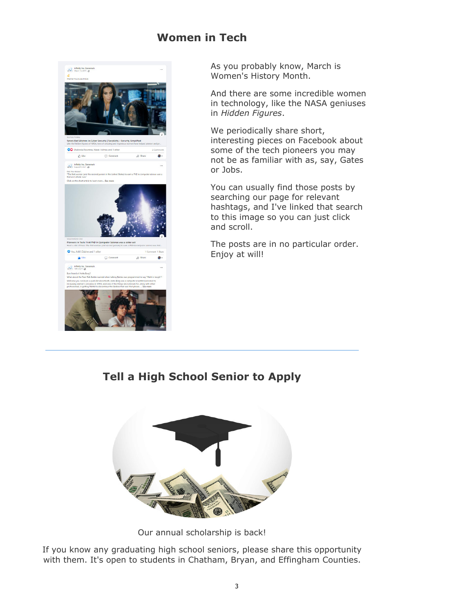#### **Women in Tech**



As you probably know, March is Women's History Month.

And there are some incredible women in technology, like the NASA geniuses in *Hidden Figures*.

We periodically share short, interesting pieces on Facebook about some of the tech pioneers you may not be as familiar with as, say, Gates or Jobs.

You can usually find those posts by searching our page for relevant hashtags, and I've linked that search to this image so you can just click and scroll.

The posts are in no particular order. Enjoy at will!

**Tell a High School Senior to Apply** 



Our annual scholarship is back!

If you know any graduating high school seniors, please share this opportunity with them. It's open to students in Chatham, Bryan, and Effingham Counties.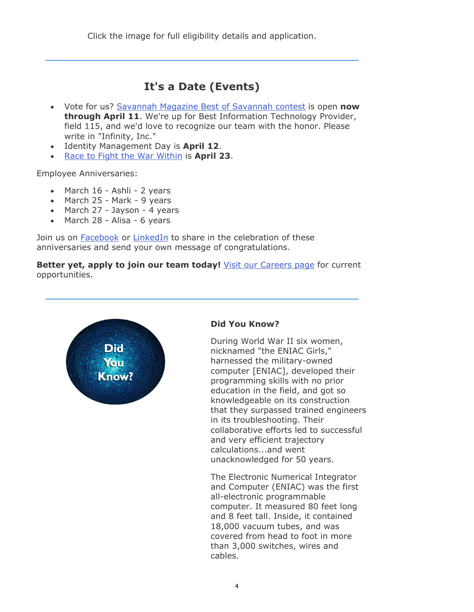Click the image for full eligibility details and application.

#### **It's a Date (Events)**

- Vote for us? Savannah Magazine Best of Savannah contest is open **now through April 11**. We're up for Best Information Technology Provider, field 115, and we'd love to recognize our team with the honor. Please write in "Infinity, Inc."
- Identity Management Day is **April 12**.
- Race to Fight the War Within is **April 23**.

Employee Anniversaries:

- March 16 Ashli 2 years
- March 25 Mark 9 years
- March 27 Jayson 4 years
- March 28 Alisa 6 years

Join us on **Facebook** or **LinkedIn** to share in the celebration of these anniversaries and send your own message of congratulations.

**Better yet, apply to join our team today!** Visit our Careers page for current opportunities.



#### **Did You Know?**

During World War II six women, nicknamed "the ENIAC Girls," harnessed the military-owned computer [ENIAC], developed their programming skills with no prior education in the field, and got so knowledgeable on its construction that they surpassed trained engineers in its troubleshooting. Their collaborative efforts led to successful and very efficient trajectory calculations...and went unacknowledged for 50 years.

The Electronic Numerical Integrator and Computer (ENIAC) was the first all-electronic programmable computer. It measured 80 feet long and 8 feet tall. Inside, it contained 18,000 vacuum tubes, and was covered from head to foot in more than 3,000 switches, wires and cables.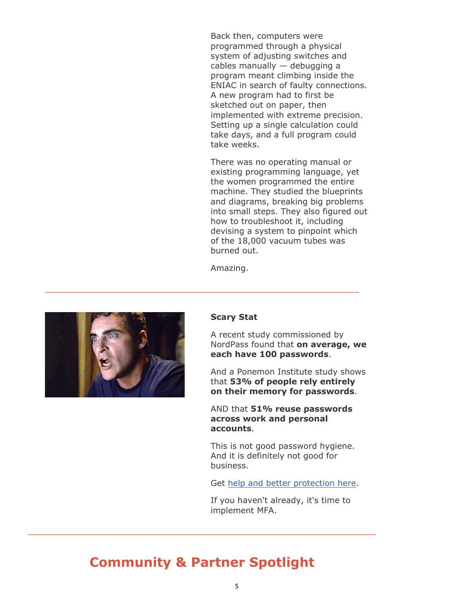Back then, computers were programmed through a physical system of adjusting switches and cables manually — debugging a program meant climbing inside the ENIAC in search of faulty connections. A new program had to first be sketched out on paper, then implemented with extreme precision. Setting up a single calculation could take days, and a full program could take weeks.

There was no operating manual or existing programming language, yet the women programmed the entire machine. They studied the blueprints and diagrams, breaking big problems into small steps. They also figured out how to troubleshoot it, including devising a system to pinpoint which of the 18,000 vacuum tubes was burned out.

Amazing.



#### **Scary Stat**

A recent study commissioned by NordPass found that **on average, we each have 100 passwords**.

And a Ponemon Institute study shows that **53% of people rely entirely on their memory for passwords**.

AND that **51% reuse passwords across work and personal accounts**.

This is not good password hygiene. And it is definitely not good for business.

Get [help and better protection here.](https://www.infinityinc.us/?s=password)

If you haven't already, it's time to implement MFA.

## **Community & Partner Spotlight**